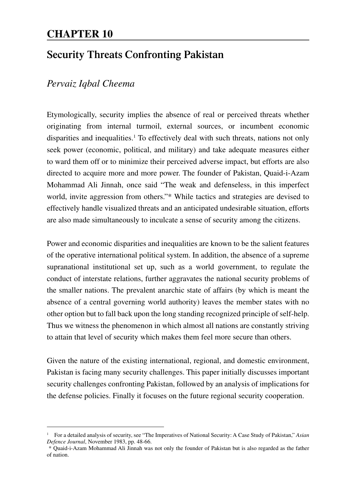# **CHAPTER 10**

# **Security Threats Confronting Pakistan**

## *Pervaiz Iqbal Cheema*

Etymologically, security implies the absence of real or perceived threats whether originating from internal turmoil, external sources, or incumbent economic disparities and inequalities.<sup>1</sup> To effectively deal with such threats, nations not only seek power (economic, political, and military) and take adequate measures either to ward them off or to minimize their perceived adverse impact, but efforts are also directed to acquire more and more power. The founder of Pakistan, Quaid-i-Azam Mohammad Ali Jinnah, once said "The weak and defenseless, in this imperfect world, invite aggression from others."\* While tactics and strategies are devised to effectively handle visualized threats and an anticipated undesirable situation, efforts are also made simultaneously to inculcate a sense of security among the citizens.

Power and economic disparities and inequalities are known to be the salient features of the operative international political system. In addition, the absence of a supreme supranational institutional set up, such as a world government, to regulate the conduct of interstate relations, further aggravates the national security problems of the smaller nations. The prevalent anarchic state of affairs (by which is meant the absence of a central governing world authority) leaves the member states with no other option but to fall back upon the long standing recognized principle of self-help. Thus we witness the phenomenon in which almost all nations are constantly striving to attain that level of security which makes them feel more secure than others.

Given the nature of the existing international, regional, and domestic environment, Pakistan is facing many security challenges. This paper initially discusses important security challenges confronting Pakistan, followed by an analysis of implications for the defense policies. Finally it focuses on the future regional security cooperation.

<sup>1</sup> For a detailed analysis of security, see "The Imperatives of National Security: A Case Study of Pakistan," *Asian Defence Journal*, November 1983, pp. 48-66.

 <sup>\*</sup> Quaid-i-Azam Mohammad Ali Jinnah was not only the founder of Pakistan but is also regarded as the father of nation.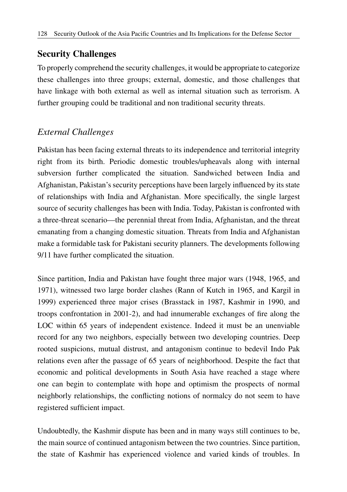# **Security Challenges**

To properly comprehend the security challenges, it would be appropriate to categorize these challenges into three groups; external, domestic, and those challenges that have linkage with both external as well as internal situation such as terrorism. A further grouping could be traditional and non traditional security threats.

# *External Challenges*

Pakistan has been facing external threats to its independence and territorial integrity right from its birth. Periodic domestic troubles/upheavals along with internal subversion further complicated the situation. Sandwiched between India and Afghanistan, Pakistan's security perceptions have been largely influenced by its state of relationships with India and Afghanistan. More specifically, the single largest source of security challenges has been with India. Today, Pakistan is confronted with a three-threat scenario—the perennial threat from India, Afghanistan, and the threat emanating from a changing domestic situation. Threats from India and Afghanistan make a formidable task for Pakistani security planners. The developments following 9/11 have further complicated the situation.

Since partition, India and Pakistan have fought three major wars (1948, 1965, and 1971), witnessed two large border clashes (Rann of Kutch in 1965, and Kargil in 1999) experienced three major crises (Brasstack in 1987, Kashmir in 1990, and troops confrontation in 2001-2), and had innumerable exchanges of fire along the LOC within 65 years of independent existence. Indeed it must be an unenviable record for any two neighbors, especially between two developing countries. Deep rooted suspicions, mutual distrust, and antagonism continue to bedevil Indo Pak relations even after the passage of 65 years of neighborhood. Despite the fact that economic and political developments in South Asia have reached a stage where one can begin to contemplate with hope and optimism the prospects of normal neighborly relationships, the conflicting notions of normalcy do not seem to have registered sufficient impact.

Undoubtedly, the Kashmir dispute has been and in many ways still continues to be, the main source of continued antagonism between the two countries. Since partition, the state of Kashmir has experienced violence and varied kinds of troubles. In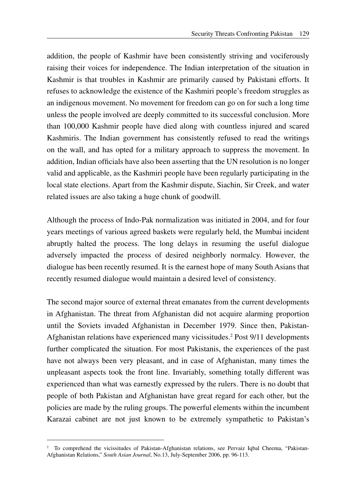addition, the people of Kashmir have been consistently striving and vociferously raising their voices for independence. The Indian interpretation of the situation in Kashmir is that troubles in Kashmir are primarily caused by Pakistani efforts. It refuses to acknowledge the existence of the Kashmiri people's freedom struggles as an indigenous movement. No movement for freedom can go on for such a long time unless the people involved are deeply committed to its successful conclusion. More than 100,000 Kashmir people have died along with countless injured and scared Kashmiris. The Indian government has consistently refused to read the writings on the wall, and has opted for a military approach to suppress the movement. In addition, Indian officials have also been asserting that the UN resolution is no longer valid and applicable, as the Kashmiri people have been regularly participating in the local state elections. Apart from the Kashmir dispute, Siachin, Sir Creek, and water related issues are also taking a huge chunk of goodwill.

Although the process of Indo-Pak normalization was initiated in 2004, and for four years meetings of various agreed baskets were regularly held, the Mumbai incident abruptly halted the process. The long delays in resuming the useful dialogue adversely impacted the process of desired neighborly normalcy. However, the dialogue has been recently resumed. It is the earnest hope of many South Asians that recently resumed dialogue would maintain a desired level of consistency.

The second major source of external threat emanates from the current developments in Afghanistan. The threat from Afghanistan did not acquire alarming proportion until the Soviets invaded Afghanistan in December 1979. Since then, Pakistan-Afghanistan relations have experienced many vicissitudes.<sup>2</sup> Post 9/11 developments further complicated the situation. For most Pakistanis, the experiences of the past have not always been very pleasant, and in case of Afghanistan, many times the unpleasant aspects took the front line. Invariably, something totally different was experienced than what was earnestly expressed by the rulers. There is no doubt that people of both Pakistan and Afghanistan have great regard for each other, but the policies are made by the ruling groups. The powerful elements within the incumbent Karazai cabinet are not just known to be extremely sympathetic to Pakistan's

<sup>2</sup> To comprehend the vicissitudes of Pakistan-Afghanistan relations, see Pervaiz Iqbal Cheema, "Pakistan-Afghanistan Relations," *South Asian Journal*, No.13, July-September 2006, pp. 96-113.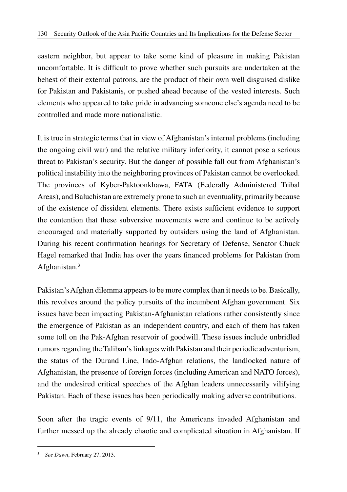eastern neighbor, but appear to take some kind of pleasure in making Pakistan uncomfortable. It is difficult to prove whether such pursuits are undertaken at the behest of their external patrons, are the product of their own well disguised dislike for Pakistan and Pakistanis, or pushed ahead because of the vested interests. Such elements who appeared to take pride in advancing someone else's agenda need to be controlled and made more nationalistic.

It is true in strategic terms that in view of Afghanistan's internal problems (including the ongoing civil war) and the relative military inferiority, it cannot pose a serious threat to Pakistan's security. But the danger of possible fall out from Afghanistan's political instability into the neighboring provinces of Pakistan cannot be overlooked. The provinces of Kyber-Paktoonkhawa, FATA (Federally Administered Tribal Areas), and Baluchistan are extremely prone to such an eventuality, primarily because of the existence of dissident elements. There exists sufficient evidence to support the contention that these subversive movements were and continue to be actively encouraged and materially supported by outsiders using the land of Afghanistan. During his recent confirmation hearings for Secretary of Defense, Senator Chuck Hagel remarked that India has over the years financed problems for Pakistan from Afghanistan.3

Pakistan's Afghan dilemma appears to be more complex than it needs to be. Basically, this revolves around the policy pursuits of the incumbent Afghan government. Six issues have been impacting Pakistan-Afghanistan relations rather consistently since the emergence of Pakistan as an independent country, and each of them has taken some toll on the Pak-Afghan reservoir of goodwill. These issues include unbridled rumors regarding the Taliban's linkages with Pakistan and their periodic adventurism, the status of the Durand Line, Indo-Afghan relations, the landlocked nature of Afghanistan, the presence of foreign forces (including American and NATO forces), and the undesired critical speeches of the Afghan leaders unnecessarily vilifying Pakistan. Each of these issues has been periodically making adverse contributions.

Soon after the tragic events of 9/11, the Americans invaded Afghanistan and further messed up the already chaotic and complicated situation in Afghanistan. If

<sup>3</sup> *See Dawn*, February 27, 2013.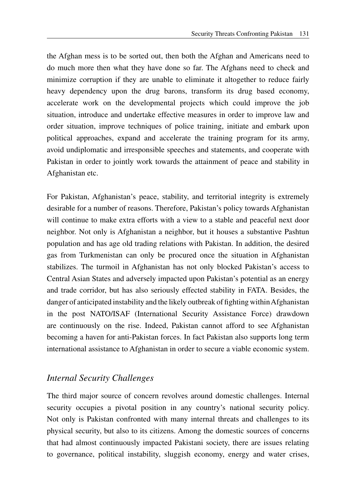the Afghan mess is to be sorted out, then both the Afghan and Americans need to do much more then what they have done so far. The Afghans need to check and minimize corruption if they are unable to eliminate it altogether to reduce fairly heavy dependency upon the drug barons, transform its drug based economy, accelerate work on the developmental projects which could improve the job situation, introduce and undertake effective measures in order to improve law and order situation, improve techniques of police training, initiate and embark upon political approaches, expand and accelerate the training program for its army, avoid undiplomatic and irresponsible speeches and statements, and cooperate with Pakistan in order to jointly work towards the attainment of peace and stability in Afghanistan etc.

For Pakistan, Afghanistan's peace, stability, and territorial integrity is extremely desirable for a number of reasons. Therefore, Pakistan's policy towards Afghanistan will continue to make extra efforts with a view to a stable and peaceful next door neighbor. Not only is Afghanistan a neighbor, but it houses a substantive Pashtun population and has age old trading relations with Pakistan. In addition, the desired gas from Turkmenistan can only be procured once the situation in Afghanistan stabilizes. The turmoil in Afghanistan has not only blocked Pakistan's access to Central Asian States and adversely impacted upon Pakistan's potential as an energy and trade corridor, but has also seriously effected stability in FATA. Besides, the danger of anticipated instability and the likely outbreak of fighting within Afghanistan in the post NATO/ISAF (International Security Assistance Force) drawdown are continuously on the rise. Indeed, Pakistan cannot afford to see Afghanistan becoming a haven for anti-Pakistan forces. In fact Pakistan also supports long term international assistance to Afghanistan in order to secure a viable economic system.

#### *Internal Security Challenges*

The third major source of concern revolves around domestic challenges. Internal security occupies a pivotal position in any country's national security policy. Not only is Pakistan confronted with many internal threats and challenges to its physical security, but also to its citizens. Among the domestic sources of concerns that had almost continuously impacted Pakistani society, there are issues relating to governance, political instability, sluggish economy, energy and water crises,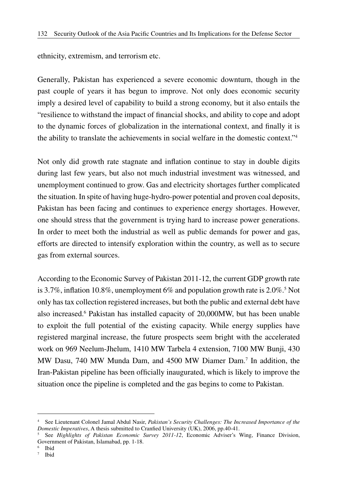ethnicity, extremism, and terrorism etc.

Generally, Pakistan has experienced a severe economic downturn, though in the past couple of years it has begun to improve. Not only does economic security imply a desired level of capability to build a strong economy, but it also entails the "resilience to withstand the impact of financial shocks, and ability to cope and adopt to the dynamic forces of globalization in the international context, and finally it is the ability to translate the achievements in social welfare in the domestic context."4

Not only did growth rate stagnate and inflation continue to stay in double digits during last few years, but also not much industrial investment was witnessed, and unemployment continued to grow. Gas and electricity shortages further complicated the situation. In spite of having huge-hydro-power potential and proven coal deposits, Pakistan has been facing and continues to experience energy shortages. However, one should stress that the government is trying hard to increase power generations. In order to meet both the industrial as well as public demands for power and gas, efforts are directed to intensify exploration within the country, as well as to secure gas from external sources.

According to the Economic Survey of Pakistan 2011-12, the current GDP growth rate is 3.7%, inflation 10.8%, unemployment 6% and population growth rate is  $2.0\%$ .<sup>5</sup> Not only has tax collection registered increases, but both the public and external debt have also increased.<sup>6</sup> Pakistan has installed capacity of 20,000MW, but has been unable to exploit the full potential of the existing capacity. While energy supplies have registered marginal increase, the future prospects seem bright with the accelerated work on 969 Neelum-Jhelum, 1410 MW Tarbela 4 extension, 7100 MW Bunji, 430 MW Dasu, 740 MW Munda Dam, and 4500 MW Diamer Dam.7 In addition, the Iran-Pakistan pipeline has been officially inaugurated, which is likely to improve the situation once the pipeline is completed and the gas begins to come to Pakistan.

<sup>4</sup> See Lieutenant Colonel Jamal Abdul Nasir, *Pakistan's Security Challenges: The Increased Importance of the Domestic Imperatives*, A thesis submitted to Cranfied University (UK), 2006, pp.40-41.

<sup>5</sup> See *Highlights of Pakistan Economic Survey 2011-12*, Economic Adviser's Wing, Finance Division, Government of Pakistan, Islamabad, pp. 1-18.

<sup>6</sup> Ibid

<sup>7</sup> Ibid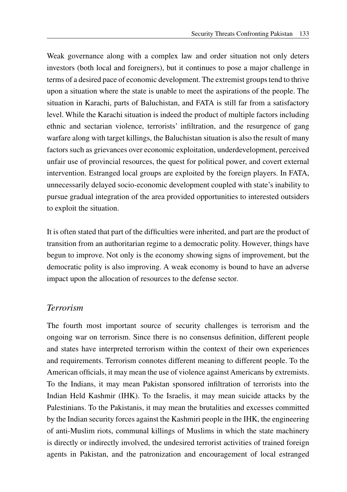Weak governance along with a complex law and order situation not only deters investors (both local and foreigners), but it continues to pose a major challenge in terms of a desired pace of economic development. The extremist groups tend to thrive upon a situation where the state is unable to meet the aspirations of the people. The situation in Karachi, parts of Baluchistan, and FATA is still far from a satisfactory level. While the Karachi situation is indeed the product of multiple factors including ethnic and sectarian violence, terrorists' infiltration, and the resurgence of gang warfare along with target killings, the Baluchistan situation is also the result of many factors such as grievances over economic exploitation, underdevelopment, perceived unfair use of provincial resources, the quest for political power, and covert external intervention. Estranged local groups are exploited by the foreign players. In FATA, unnecessarily delayed socio-economic development coupled with state's inability to pursue gradual integration of the area provided opportunities to interested outsiders to exploit the situation.

It is often stated that part of the difficulties were inherited, and part are the product of transition from an authoritarian regime to a democratic polity. However, things have begun to improve. Not only is the economy showing signs of improvement, but the democratic polity is also improving. A weak economy is bound to have an adverse impact upon the allocation of resources to the defense sector.

### *Terrorism*

The fourth most important source of security challenges is terrorism and the ongoing war on terrorism. Since there is no consensus definition, different people and states have interpreted terrorism within the context of their own experiences and requirements. Terrorism connotes different meaning to different people. To the American officials, it may mean the use of violence against Americans by extremists. To the Indians, it may mean Pakistan sponsored infiltration of terrorists into the Indian Held Kashmir (IHK). To the Israelis, it may mean suicide attacks by the Palestinians. To the Pakistanis, it may mean the brutalities and excesses committed by the Indian security forces against the Kashmiri people in the IHK, the engineering of anti-Muslim riots, communal killings of Muslims in which the state machinery is directly or indirectly involved, the undesired terrorist activities of trained foreign agents in Pakistan, and the patronization and encouragement of local estranged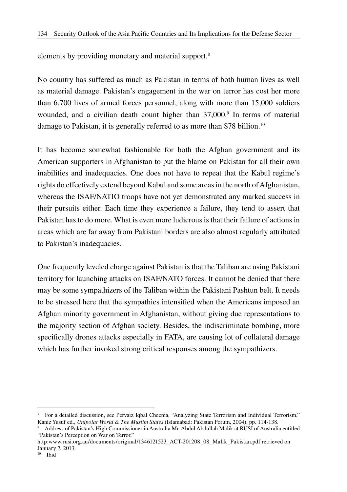elements by providing monetary and material support.8

No country has suffered as much as Pakistan in terms of both human lives as well as material damage. Pakistan's engagement in the war on terror has cost her more than 6,700 lives of armed forces personnel, along with more than 15,000 soldiers wounded, and a civilian death count higher than 37,000.<sup>9</sup> In terms of material damage to Pakistan, it is generally referred to as more than \$78 billion.<sup>10</sup>

It has become somewhat fashionable for both the Afghan government and its American supporters in Afghanistan to put the blame on Pakistan for all their own inabilities and inadequacies. One does not have to repeat that the Kabul regime's rights do effectively extend beyond Kabul and some areas in the north of Afghanistan, whereas the ISAF/NATIO troops have not yet demonstrated any marked success in their pursuits either. Each time they experience a failure, they tend to assert that Pakistan has to do more. What is even more ludicrous is that their failure of actions in areas which are far away from Pakistani borders are also almost regularly attributed to Pakistan's inadequacies.

One frequently leveled charge against Pakistan is that the Taliban are using Pakistani territory for launching attacks on ISAF/NATO forces. It cannot be denied that there may be some sympathizers of the Taliban within the Pakistani Pashtun belt. It needs to be stressed here that the sympathies intensified when the Americans imposed an Afghan minority government in Afghanistan, without giving due representations to the majority section of Afghan society. Besides, the indiscriminate bombing, more specifically drones attacks especially in FATA, are causing lot of collateral damage which has further invoked strong critical responses among the sympathizers.

<sup>&</sup>lt;sup>8</sup> For a detailed discussion, see Pervaiz Iqbal Cheema, "Analyzing State Terrorism and Individual Terrorism," Kaniz Yusuf ed., *Unipolar World & The Muslim States* (Islamabad: Pakistan Forum, 2004), pp. 114-138.

<sup>9</sup> Address of Pakistan's High Commissioner in Australia Mr. Abdul Abdullah Malik at RUSI of Australia entitled "Pakistan's Perception on War on Terror,"

http:www.rusi.org.au/documents/original/1346121523\_ACT-201208\_08\_Malik\_Pakistan.pdf retrieved on January 7, 2013.

 $10$  Ibid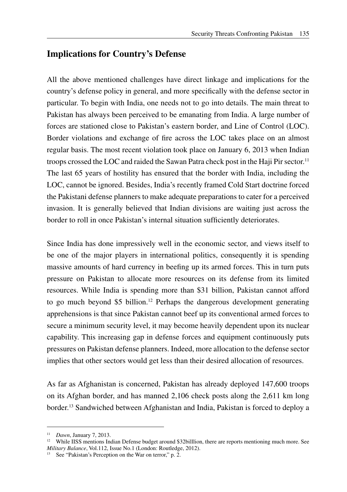# **Implications for Country's Defense**

All the above mentioned challenges have direct linkage and implications for the country's defense policy in general, and more specifically with the defense sector in particular. To begin with India, one needs not to go into details. The main threat to Pakistan has always been perceived to be emanating from India. A large number of forces are stationed close to Pakistan's eastern border, and Line of Control (LOC). Border violations and exchange of fire across the LOC takes place on an almost regular basis. The most recent violation took place on January 6, 2013 when Indian troops crossed the LOC and raided the Sawan Patra check post in the Haji Pir sector.11 The last 65 years of hostility has ensured that the border with India, including the LOC, cannot be ignored. Besides, India's recently framed Cold Start doctrine forced the Pakistani defense planners to make adequate preparations to cater for a perceived invasion. It is generally believed that Indian divisions are waiting just across the border to roll in once Pakistan's internal situation sufficiently deteriorates.

Since India has done impressively well in the economic sector, and views itself to be one of the major players in international politics, consequently it is spending massive amounts of hard currency in beefing up its armed forces. This in turn puts pressure on Pakistan to allocate more resources on its defense from its limited resources. While India is spending more than \$31 billion, Pakistan cannot afford to go much beyond \$5 billion.12 Perhaps the dangerous development generating apprehensions is that since Pakistan cannot beef up its conventional armed forces to secure a minimum security level, it may become heavily dependent upon its nuclear capability. This increasing gap in defense forces and equipment continuously puts pressures on Pakistan defense planners. Indeed, more allocation to the defense sector implies that other sectors would get less than their desired allocation of resources.

As far as Afghanistan is concerned, Pakistan has already deployed 147,600 troops on its Afghan border, and has manned 2,106 check posts along the 2,611 km long border.13 Sandwiched between Afghanistan and India, Pakistan is forced to deploy a

<sup>11</sup> *Dawn*, January 7, 2013.

<sup>&</sup>lt;sup>12</sup> While IISS mentions Indian Defense budget around \$32billlion, there are reports mentioning much more. See *Military Balance*, Vol.112, Issue No.1 (London: Routledge, 2012).

<sup>&</sup>lt;sup>13</sup> See "Pakistan's Perception on the War on terror," p. 2.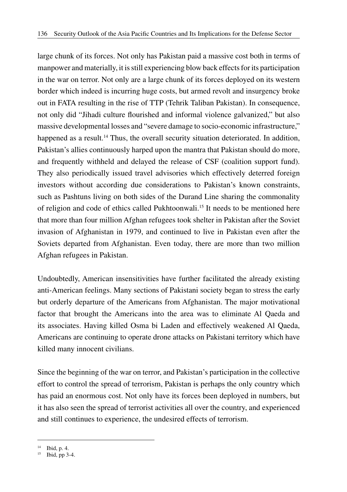large chunk of its forces. Not only has Pakistan paid a massive cost both in terms of manpower and materially, it is still experiencing blow back effects for its participation in the war on terror. Not only are a large chunk of its forces deployed on its western border which indeed is incurring huge costs, but armed revolt and insurgency broke out in FATA resulting in the rise of TTP (Tehrik Taliban Pakistan). In consequence, not only did "Jihadi culture flourished and informal violence galvanized," but also massive developmental losses and "severe damage to socio-economic infrastructure," happened as a result.<sup>14</sup> Thus, the overall security situation deteriorated. In addition, Pakistan's allies continuously harped upon the mantra that Pakistan should do more, and frequently withheld and delayed the release of CSF (coalition support fund). They also periodically issued travel advisories which effectively deterred foreign investors without according due considerations to Pakistan's known constraints, such as Pashtuns living on both sides of the Durand Line sharing the commonality of religion and code of ethics called Pukhtoonwali.15 It needs to be mentioned here that more than four million Afghan refugees took shelter in Pakistan after the Soviet invasion of Afghanistan in 1979, and continued to live in Pakistan even after the Soviets departed from Afghanistan. Even today, there are more than two million Afghan refugees in Pakistan.

Undoubtedly, American insensitivities have further facilitated the already existing anti-American feelings. Many sections of Pakistani society began to stress the early but orderly departure of the Americans from Afghanistan. The major motivational factor that brought the Americans into the area was to eliminate Al Qaeda and its associates. Having killed Osma bi Laden and effectively weakened Al Qaeda, Americans are continuing to operate drone attacks on Pakistani territory which have killed many innocent civilians.

Since the beginning of the war on terror, and Pakistan's participation in the collective effort to control the spread of terrorism, Pakistan is perhaps the only country which has paid an enormous cost. Not only have its forces been deployed in numbers, but it has also seen the spread of terrorist activities all over the country, and experienced and still continues to experience, the undesired effects of terrorism.

<sup>14</sup> Ibid, p. 4.

 $15$  Ibid, pp 3-4.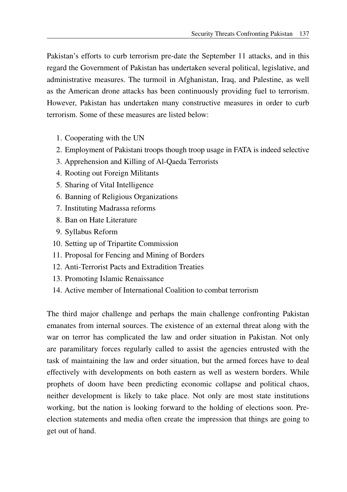Pakistan's efforts to curb terrorism pre-date the September 11 attacks, and in this regard the Government of Pakistan has undertaken several political, legislative, and administrative measures. The turmoil in Afghanistan, Iraq, and Palestine, as well as the American drone attacks has been continuously providing fuel to terrorism. However, Pakistan has undertaken many constructive measures in order to curb terrorism. Some of these measures are listed below:

- 1. Cooperating with the UN
- 2. Employment of Pakistani troops though troop usage in FATA is indeed selective
- 3. Apprehension and Killing of Al-Qaeda Terrorists
- 4. Rooting out Foreign Militants
- 5. Sharing of Vital Intelligence
- 6. Banning of Religious Organizations
- 7. Instituting Madrassa reforms
- 8. Ban on Hate Literature
- 9. Syllabus Reform
- 10. Setting up of Tripartite Commission
- 11. Proposal for Fencing and Mining of Borders
- 12. Anti-Terrorist Pacts and Extradition Treaties
- 13. Promoting Islamic Renaissance
- 14. Active member of International Coalition to combat terrorism

The third major challenge and perhaps the main challenge confronting Pakistan emanates from internal sources. The existence of an external threat along with the war on terror has complicated the law and order situation in Pakistan. Not only are paramilitary forces regularly called to assist the agencies entrusted with the task of maintaining the law and order situation, but the armed forces have to deal effectively with developments on both eastern as well as western borders. While prophets of doom have been predicting economic collapse and political chaos, neither development is likely to take place. Not only are most state institutions working, but the nation is looking forward to the holding of elections soon. Preelection statements and media often create the impression that things are going to get out of hand.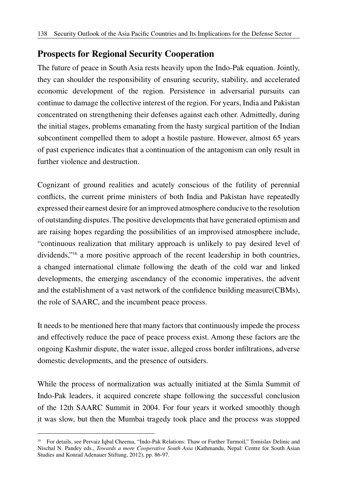## **Prospects for Regional Security Cooperation**

The future of peace in South Asia rests heavily upon the Indo-Pak equation. Jointly, they can shoulder the responsibility of ensuring security, stability, and accelerated economic development of the region. Persistence in adversarial pursuits can continue to damage the collective interest of the region. For years, India and Pakistan concentrated on strengthening their defenses against each other. Admittedly, during the initial stages, problems emanating from the hasty surgical partition of the Indian subcontinent compelled them to adopt a hostile pasture. However, almost 65 years of past experience indicates that a continuation of the antagonism can only result in further violence and destruction.

Cognizant of ground realities and acutely conscious of the futility of perennial conflicts, the current prime ministers of both India and Pakistan have repeatedly expressed their earnest desire for an improved atmosphere conducive to the resolution of outstanding disputes. The positive developments that have generated optimism and are raising hopes regarding the possibilities of an improvised atmosphere include, "continuous realization that military approach is unlikely to pay desired level of dividends,"16 a more positive approach of the recent leadership in both countries, a changed international climate following the death of the cold war and linked developments, the emerging ascendancy of the economic imperatives, the advent and the establishment of a vast network of the confidence building measure(CBMs), the role of SAARC, and the incumbent peace process.

It needs to be mentioned here that many factors that continuously impede the process and effectively reduce the pace of peace process exist. Among these factors are the ongoing Kashmir dispute, the water issue, alleged cross border infiltrations, adverse domestic developments, and the presence of outsiders.

While the process of normalization was actually initiated at the Simla Summit of Indo-Pak leaders, it acquired concrete shape following the successful conclusion of the 12th SAARC Summit in 2004. For four years it worked smoothly though it was slow, but then the Mumbai tragedy took place and the process was stopped

<sup>&</sup>lt;sup>16</sup> For details, see Pervaiz Iqbal Cheema, "Indo-Pak Relations: Thaw or Further Turmoil," Tomislav Delinic and Nischal N. Pandey eds., *Towards a more Cooperative South Asia* (Kathmandu, Nepal: Centre for South Asian Studies and Konrad Adenauer Stiftung, 2012), pp. 86-97.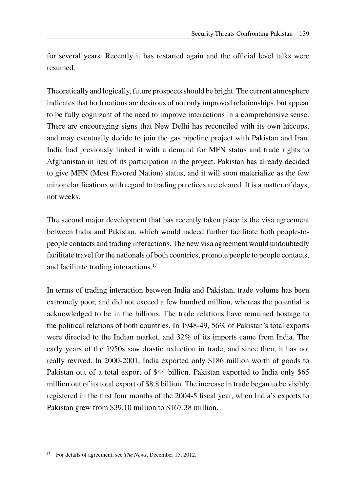for several years. Recently it has restarted again and the official level talks were resumed.

Theoretically and logically, future prospects should be bright. The current atmosphere indicates that both nations are desirous of not only improved relationships, but appear to be fully cognizant of the need to improve interactions in a comprehensive sense. There are encouraging signs that New Delhi has reconciled with its own hiccups, and may eventually decide to join the gas pipeline project with Pakistan and Iran. India had previously linked it with a demand for MFN status and trade rights to Afghanistan in lieu of its participation in the project. Pakistan has already decided to give MFN (Most Favored Nation) status, and it will soon materialize as the few minor clarifications with regard to trading practices are cleared. It is a matter of days, not weeks.

The second major development that has recently taken place is the visa agreement between India and Pakistan, which would indeed further facilitate both people-topeople contacts and trading interactions. The new visa agreement would undoubtedly facilitate travel for the nationals of both countries, promote people to people contacts, and facilitate trading interactions.<sup>17</sup>

In terms of trading interaction between India and Pakistan, trade volume has been extremely poor, and did not exceed a few hundred million, whereas the potential is acknowledged to be in the billions. The trade relations have remained hostage to the political relations of both countries. In 1948-49, 56% of Pakistan's total exports were directed to the Indian market, and 32% of its imports came from India. The early years of the 1950s saw drastic reduction in trade, and since then, it has not really revived. In 2000-2001, India exported only \$186 million worth of goods to Pakistan out of a total export of \$44 billion. Pakistan exported to India only \$65 million out of its total export of \$8.8 billion. The increase in trade began to be visibly registered in the first four months of the 2004-5 fiscal year, when India's exports to Pakistan grew from \$39.10 million to \$167.38 million.

<sup>17</sup> For details of agreement, see *The News*, December 15, 2012.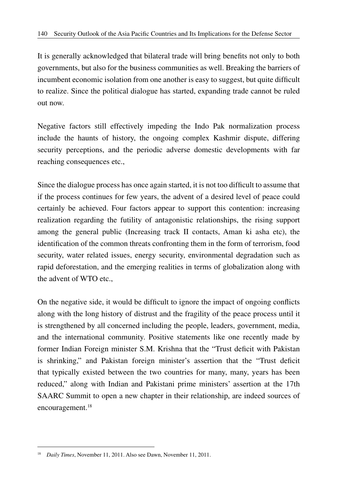It is generally acknowledged that bilateral trade will bring benefits not only to both governments, but also for the business communities as well. Breaking the barriers of incumbent economic isolation from one another is easy to suggest, but quite difficult to realize. Since the political dialogue has started, expanding trade cannot be ruled out now.

Negative factors still effectively impeding the Indo Pak normalization process include the haunts of history, the ongoing complex Kashmir dispute, differing security perceptions, and the periodic adverse domestic developments with far reaching consequences etc.,

Since the dialogue process has once again started, it is not too difficult to assume that if the process continues for few years, the advent of a desired level of peace could certainly be achieved. Four factors appear to support this contention: increasing realization regarding the futility of antagonistic relationships, the rising support among the general public (Increasing track II contacts, Aman ki asha etc), the identification of the common threats confronting them in the form of terrorism, food security, water related issues, energy security, environmental degradation such as rapid deforestation, and the emerging realities in terms of globalization along with the advent of WTO etc.,

On the negative side, it would be difficult to ignore the impact of ongoing conflicts along with the long history of distrust and the fragility of the peace process until it is strengthened by all concerned including the people, leaders, government, media, and the international community. Positive statements like one recently made by former Indian Foreign minister S.M. Krishna that the "Trust deficit with Pakistan is shrinking," and Pakistan foreign minister's assertion that the "Trust deficit that typically existed between the two countries for many, many, years has been reduced," along with Indian and Pakistani prime ministers' assertion at the 17th SAARC Summit to open a new chapter in their relationship, are indeed sources of encouragement.<sup>18</sup>

<sup>&</sup>lt;sup>18</sup> *Daily Times*, November 11, 2011. Also see Dawn, November 11, 2011.